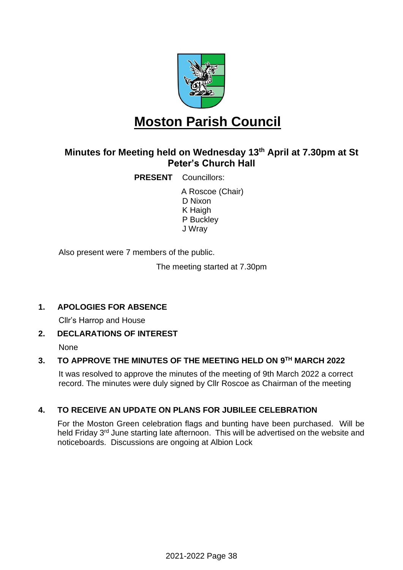

# **Moston Parish Council**

## **Minutes for Meeting held on Wednesday 13th April at 7.30pm at St Peter's Church Hall**

**PRESENT** Councillors:

A Roscoe (Chair) D Nixon K Haigh P Buckley J Wray

Also present were 7 members of the public.

The meeting started at 7.30pm

### **1. APOLOGIES FOR ABSENCE**

Cllr's Harrop and House

#### **2. DECLARATIONS OF INTEREST**

None

#### **3. TO APPROVE THE MINUTES OF THE MEETING HELD ON 9 TH MARCH 2022**

It was resolved to approve the minutes of the meeting of 9th March 2022 a correct record. The minutes were duly signed by Cllr Roscoe as Chairman of the meeting

#### **4. TO RECEIVE AN UPDATE ON PLANS FOR JUBILEE CELEBRATION**

For the Moston Green celebration flags and bunting have been purchased. Will be held Friday 3<sup>rd</sup> June starting late afternoon. This will be advertised on the website and noticeboards. Discussions are ongoing at Albion Lock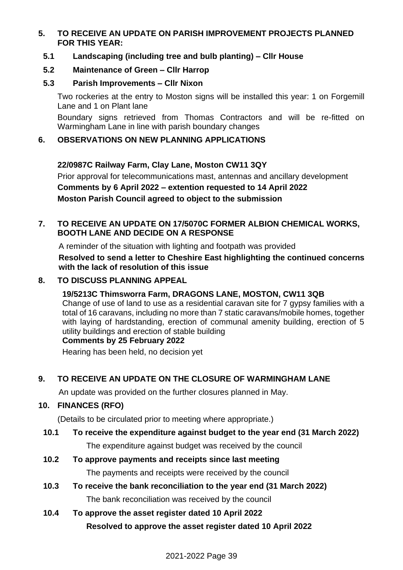#### **5. TO RECEIVE AN UPDATE ON PARISH IMPROVEMENT PROJECTS PLANNED FOR THIS YEAR:**

#### **5.1 Landscaping (including tree and bulb planting) – Cllr House**

### **5.2 Maintenance of Green – Cllr Harrop**

#### **5.3 Parish Improvements – Cllr Nixon**

Two rockeries at the entry to Moston signs will be installed this year: 1 on Forgemill Lane and 1 on Plant lane

Boundary signs retrieved from Thomas Contractors and will be re-fitted on Warmingham Lane in line with parish boundary changes

#### **6. OBSERVATIONS ON NEW PLANNING APPLICATIONS**

**22/0987C Railway Farm, Clay Lane, Moston CW11 3QY** Prior approval for telecommunications mast, antennas and ancillary development **Comments by 6 April 2022 – extention requested to 14 April 2022 Moston Parish Council agreed to object to the submission**

### **7. TO RECEIVE AN UPDATE ON 17/5070C FORMER ALBION CHEMICAL WORKS, BOOTH LANE AND DECIDE ON A RESPONSE**

A reminder of the situation with lighting and footpath was provided **Resolved to send a letter to Cheshire East highlighting the continued concerns with the lack of resolution of this issue**

### **8. TO DISCUSS PLANNING APPEAL**

#### **19/5213C Thimsworra Farm, DRAGONS LANE, MOSTON, CW11 3QB**

Change of use of land to use as a residential caravan site for 7 gypsy families with a total of 16 caravans, including no more than 7 static caravans/mobile homes, together with laying of hardstanding, erection of communal amenity building, erection of 5 utility buildings and erection of stable building

#### **Comments by 25 February 2022**

Hearing has been held, no decision yet

### **9. TO RECEIVE AN UPDATE ON THE CLOSURE OF WARMINGHAM LANE**

An update was provided on the further closures planned in May.

### **10. FINANCES (RFO)**

(Details to be circulated prior to meeting where appropriate.)

# **10.1 To receive the expenditure against budget to the year end (31 March 2022)**

The expenditure against budget was received by the council

#### **10.2 To approve payments and receipts since last meeting**

The payments and receipts were received by the council

**10.3 To receive the bank reconciliation to the year end (31 March 2022)** The bank reconciliation was received by the council

## **10.4 To approve the asset register dated 10 April 2022 Resolved to approve the asset register dated 10 April 2022**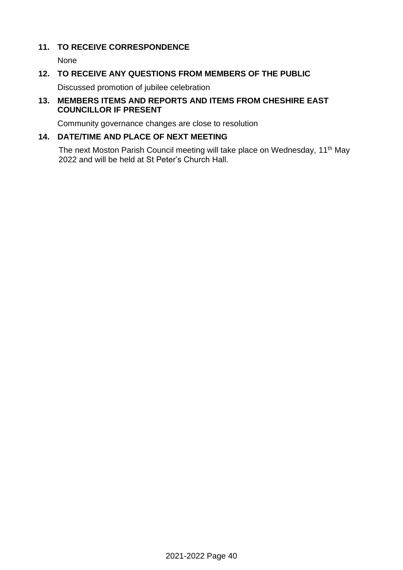#### **11. TO RECEIVE CORRESPONDENCE**

None

#### **12. TO RECEIVE ANY QUESTIONS FROM MEMBERS OF THE PUBLIC**

Discussed promotion of jubilee celebration

#### **13. MEMBERS ITEMS AND REPORTS AND ITEMS FROM CHESHIRE EAST COUNCILLOR IF PRESENT**

Community governance changes are close to resolution

#### **14. DATE/TIME AND PLACE OF NEXT MEETING**

The next Moston Parish Council meeting will take place on Wednesday, 11<sup>th</sup> May 2022 and will be held at St Peter's Church Hall.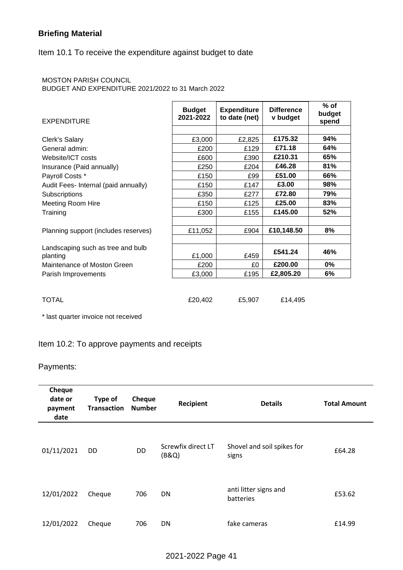#### **Briefing Material**

#### Item 10.1 To receive the expenditure against budget to date

#### MOSTON PARISH COUNCIL

BUDGET AND EXPENDITURE 2021/2022 to 31 March 2022

| <b>EXPENDITURE</b>                            | <b>Budget</b><br>2021-2022 | <b>Expenditure</b><br>to date (net) | <b>Difference</b><br>v budget | $%$ of<br>budget<br>spend |
|-----------------------------------------------|----------------------------|-------------------------------------|-------------------------------|---------------------------|
|                                               |                            |                                     |                               |                           |
| Clerk's Salary                                | £3,000                     | £2,825                              | £175.32                       | 94%                       |
| General admin:                                | £200                       | £129                                | £71.18                        | 64%                       |
| Website/ICT costs                             | £600                       | £390                                | £210.31                       | 65%                       |
| Insurance (Paid annually)                     | £250                       | £204                                | £46.28                        | 81%                       |
| Payroll Costs *                               | £150                       | £99                                 | £51.00                        | 66%                       |
| Audit Fees- Internal (paid annually)          | £150                       | £147                                | £3.00                         | 98%                       |
| Subscriptions                                 | £350                       | £277                                | £72.80                        | 79%                       |
| <b>Meeting Room Hire</b>                      | £150                       | £125                                | £25.00                        | 83%                       |
| Training                                      | £300                       | £155                                | £145.00                       | 52%                       |
|                                               |                            |                                     |                               |                           |
| Planning support (includes reserves)          | £11,052                    | £904                                | £10,148.50                    | 8%                        |
|                                               |                            |                                     |                               |                           |
| Landscaping such as tree and bulb<br>planting | £1,000                     | £459                                | £541.24                       | 46%                       |
| Maintenance of Moston Green                   | £200                       | £0                                  | £200.00                       | $0\%$                     |
| Parish Improvements                           | £3,000                     | £195                                | £2,805.20                     | 6%                        |
|                                               |                            |                                     |                               |                           |
| <b>TOTAL</b>                                  | £20,402                    | £5,907                              | £14,495                       |                           |

\* last quarter invoice not received

#### Item 10.2: To approve payments and receipts

#### Payments:

| Cheque<br>date or<br>payment<br>date | Type of<br><b>Transaction</b> | <b>Cheque</b><br><b>Number</b> | Recipient                   | <b>Details</b>                      | <b>Total Amount</b> |
|--------------------------------------|-------------------------------|--------------------------------|-----------------------------|-------------------------------------|---------------------|
| 01/11/2021                           | DD                            | DD                             | Screwfix direct LT<br>(B&Q) | Shovel and soil spikes for<br>signs | £64.28              |
| 12/01/2022                           | Cheque                        | 706                            | DN                          | anti litter signs and<br>batteries  | £53.62              |
| 12/01/2022                           | Cheque                        | 706                            | DN                          | fake cameras                        | £14.99              |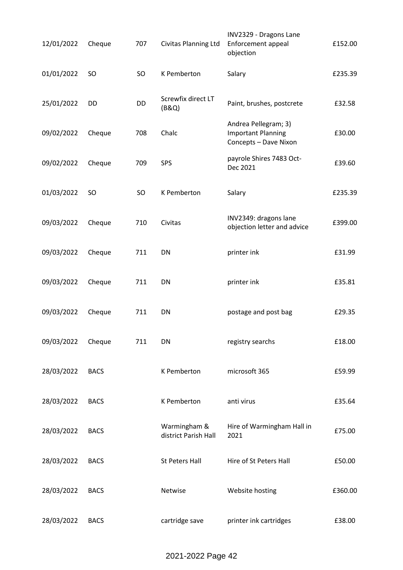| 12/01/2022 | Cheque      | 707       | Civitas Planning Ltd                 | INV2329 - Dragons Lane<br>Enforcement appeal<br>objection                  | £152.00 |
|------------|-------------|-----------|--------------------------------------|----------------------------------------------------------------------------|---------|
| 01/01/2022 | <b>SO</b>   | <b>SO</b> | K Pemberton                          | Salary                                                                     | £235.39 |
| 25/01/2022 | DD          | DD        | Screwfix direct LT<br>(B&Q)          | Paint, brushes, postcrete                                                  | £32.58  |
| 09/02/2022 | Cheque      | 708       | Chalc                                | Andrea Pellegram; 3)<br><b>Important Planning</b><br>Concepts - Dave Nixon | £30.00  |
| 09/02/2022 | Cheque      | 709       | SPS                                  | payrole Shires 7483 Oct-<br>Dec 2021                                       | £39.60  |
| 01/03/2022 | SO          | SO        | K Pemberton                          | Salary                                                                     | £235.39 |
| 09/03/2022 | Cheque      | 710       | Civitas                              | INV2349: dragons lane<br>objection letter and advice                       | £399.00 |
| 09/03/2022 | Cheque      | 711       | DN                                   | printer ink                                                                | £31.99  |
| 09/03/2022 | Cheque      | 711       | DN                                   | printer ink                                                                | £35.81  |
| 09/03/2022 | Cheque      | 711       | DN                                   | postage and post bag                                                       | £29.35  |
| 09/03/2022 | Cheque      | 711       | DN                                   | registry searchs                                                           | £18.00  |
| 28/03/2022 | <b>BACS</b> |           | K Pemberton                          | microsoft 365                                                              | £59.99  |
| 28/03/2022 | <b>BACS</b> |           | K Pemberton                          | anti virus                                                                 | £35.64  |
| 28/03/2022 | <b>BACS</b> |           | Warmingham &<br>district Parish Hall | Hire of Warmingham Hall in<br>2021                                         | £75.00  |
| 28/03/2022 | <b>BACS</b> |           | <b>St Peters Hall</b>                | Hire of St Peters Hall                                                     | £50.00  |
| 28/03/2022 | <b>BACS</b> |           | Netwise                              | Website hosting                                                            | £360.00 |
| 28/03/2022 | <b>BACS</b> |           | cartridge save                       | printer ink cartridges                                                     | £38.00  |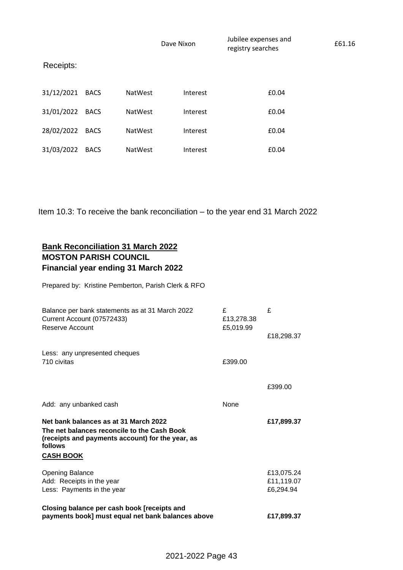|            |             |                | Dave Nixon | Jubilee expenses and<br>registry searches |       | £61.16 |
|------------|-------------|----------------|------------|-------------------------------------------|-------|--------|
| Receipts:  |             |                |            |                                           |       |        |
| 31/12/2021 | <b>BACS</b> | <b>NatWest</b> | Interest   |                                           | £0.04 |        |
| 31/01/2022 | <b>BACS</b> | <b>NatWest</b> | Interest   |                                           | £0.04 |        |
| 28/02/2022 | <b>BACS</b> | <b>NatWest</b> | Interest   |                                           | £0.04 |        |
| 31/03/2022 | <b>BACS</b> | <b>NatWest</b> | Interest   |                                           | £0.04 |        |

Item 10.3: To receive the bank reconciliation – to the year end 31 March 2022

### **Bank Reconciliation 31 March 2022 MOSTON PARISH COUNCIL Financial year ending 31 March 2022**

Prepared by: Kristine Pemberton, Parish Clerk & RFO

| Reserve Account                                                                                                                                     | £5,019.99 | £18,298.37              |
|-----------------------------------------------------------------------------------------------------------------------------------------------------|-----------|-------------------------|
| Less: any unpresented cheques                                                                                                                       |           |                         |
| 710 civitas                                                                                                                                         | £399.00   |                         |
|                                                                                                                                                     |           | £399.00                 |
| Add: any unbanked cash                                                                                                                              | None      |                         |
|                                                                                                                                                     |           |                         |
| Net bank balances as at 31 March 2022<br>The net balances reconcile to the Cash Book<br>(receipts and payments account) for the year, as<br>follows |           | £17,899.37              |
| <b>CASH BOOK</b>                                                                                                                                    |           |                         |
| <b>Opening Balance</b>                                                                                                                              |           | £13,075.24              |
| Add: Receipts in the year<br>Less: Payments in the year                                                                                             |           | £11,119.07<br>£6,294.94 |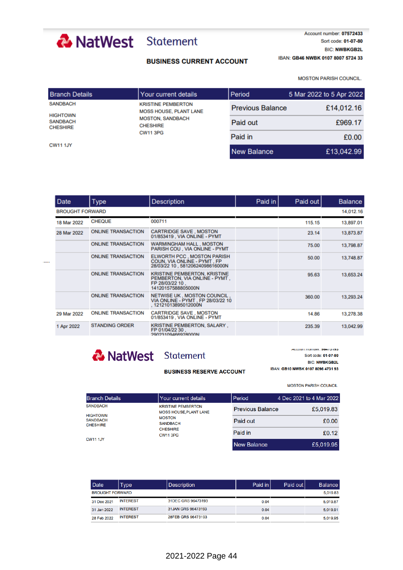# & NatWest Statement

#### **BUSINESS CURRENT ACCOUNT**

Account number: 07572433 Sort code: 01-07-80 **BIC: NWBKGB2L** IBAN: GB46 NWBK 0107 8007 5724 33

MOSTON PARISH COUNCIL.

| <b>Branch Details</b>              | l Your current details                                     | Period                  | 5 Mar 2022 to 5 Apr 2022 |
|------------------------------------|------------------------------------------------------------|-------------------------|--------------------------|
| <b>SANDBACH</b><br><b>HIGHTOWN</b> | <b>KRISTINE PEMBERTON</b><br><b>MOSS HOUSE, PLANT LANE</b> | <b>Previous Balance</b> | £14,012.16               |
| <b>SANDBACH</b><br><b>CHESHIRE</b> | <b>MOSTON, SANDBACH</b><br><b>CHESHIRE</b>                 | Paid out                | £969.17                  |
|                                    | <b>CW11 3PG</b>                                            | Paid in                 | £0.00                    |
| <b>CW11 1JY</b>                    |                                                            | <b>New Balance</b>      | £13,042.99               |

| <b>Date</b>            | <b>Type</b>               | <b>Description</b>                                                                                            | Paid in | Paid out | <b>Balance</b> |
|------------------------|---------------------------|---------------------------------------------------------------------------------------------------------------|---------|----------|----------------|
| <b>BROUGHT FORWARD</b> |                           |                                                                                                               |         |          | 14,012.16      |
| 18 Mar 2022            | <b>CHEQUE</b>             | 000711                                                                                                        |         | 115.15   | 13,897.01      |
| 28 Mar 2022            | <b>ONLINE TRANSACTION</b> | <b>CARTRIDGE SAVE, MOSTON</b><br>01/853419, VIA ONLINE - PYMT                                                 |         | 23.14    | 13,873.87      |
|                        | <b>ONLINE TRANSACTION</b> | <b>WARMINGHAM HALL, MOSTON</b><br>PARISH COU, VIA ONLINE - PYMT                                               |         | 75.00    | 13,798.87      |
|                        | <b>ONLINE TRANSACTION</b> | ELWORTH PCC, MOSTON PARISH<br>COUN, VIA ONLINE - PYMT, FP<br>28/03/22 10 .58120624098616000N                  |         | 50.00    | 13,748.87      |
|                        | <b>ONLINE TRANSACTION</b> | <b>KRISTINE PEMBERTON, KRISTINE</b><br>PEMBERTON, VIA ONLINE - PYMT,<br>FP 28/03/22 10.<br>14120157588805000N |         | 95.63    | 13,653.24      |
|                        | <b>ONLINE TRANSACTION</b> | NETWISE UK , MOSTON COUNCIL.<br>VIA ONLINE - PYMT, FP 28/03/22 10<br>.12121013895012000N                      |         | 360.00   | 13,293.24      |
| 29 Mar 2022            | <b>ONLINE TRANSACTION</b> | <b>CARTRIDGE SAVE, MOSTON</b><br>01/853419, VIA ONLINE - PYMT                                                 |         | 14.86    | 13,278.38      |
| 1 Apr 2022             | <b>STANDING ORDER</b>     | KRISTINE PEMBERTON, SALARY,<br>FP 01/04/22 30.<br>20023100466028000N                                          |         | 235.39   | 13,042.99      |

# & NatWest Statement

 $\ddotsc$ 

#### **BUSINESS RESERVE ACCOUNT**

ACCOUNT NUMBER, 20473123 Sort code: 01-07-80 **BIC: NWBKGB2L** IBAN: GB10 NWBK 0107 8096 4731 93

**MOSTON PARISH COUNCIL** 

| <b>Branch Details</b>                          | l Your current details                                    | Period                  | 4 Dec 2021 to 4 Mar 2022 |
|------------------------------------------------|-----------------------------------------------------------|-------------------------|--------------------------|
| <b>SANDBACH</b>                                | <b>KRISTINE PEMBERTON</b><br><b>MOSS HOUSE.PLANT LANE</b> | <b>Previous Balance</b> | £5,019.83                |
| HIGHTOWN<br><b>SANDBACH</b><br><b>CHESHIRE</b> | <b>MOSTON</b><br><b>SANDBACH</b>                          | Paid out                | £0.00                    |
|                                                | <b>CHESHIRE</b><br><b>CW11 3PG</b>                        | Paid in                 | £0.12                    |
| <b>CW11 1JY</b>                                |                                                           | New Balance             | £5 019 95                |

| Date                   | <b>Type</b>     | Description        | Paid in | Paid out I | <b>Balance</b> |
|------------------------|-----------------|--------------------|---------|------------|----------------|
| <b>BROUGHT FORWARD</b> |                 |                    |         |            | 5.019.83       |
| 31 Dec 2021            | <b>INTEREST</b> | 31DEC GRS 96473193 | 0.04    |            | 5,019.87       |
| 31 Jan 2022            | <b>INTEREST</b> | 31JAN GRS 96473193 | 0.04    |            | 5.019.91       |
| 28 Feb 2022            | <b>INTEREST</b> | 28FEB GRS 96473193 | 0.04    |            | 5.019.95       |

## 2021-2022 Page 44